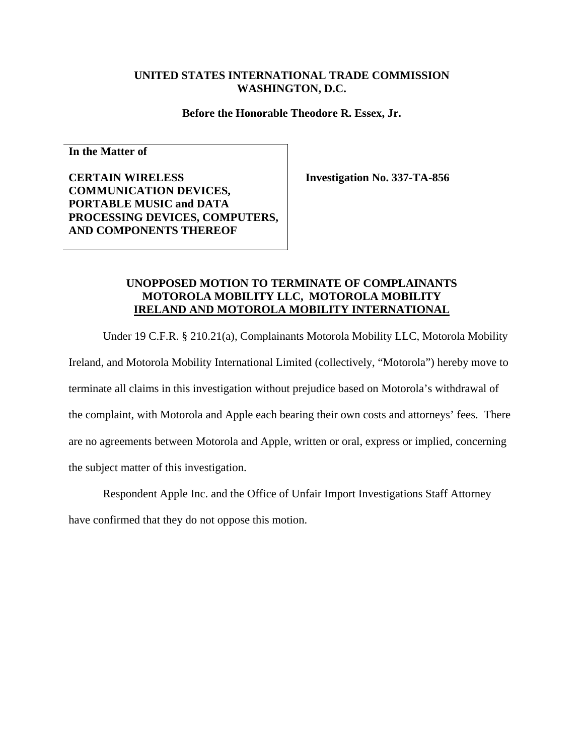#### **UNITED STATES INTERNATIONAL TRADE COMMISSION WASHINGTON, D.C.**

**Before the Honorable Theodore R. Essex, Jr.** 

**In the Matter of** 

**CERTAIN WIRELESS COMMUNICATION DEVICES, PORTABLE MUSIC and DATA PROCESSING DEVICES, COMPUTERS, AND COMPONENTS THEREOF** 

**Investigation No. 337-TA-856** 

#### **UNOPPOSED MOTION TO TERMINATE OF COMPLAINANTS MOTOROLA MOBILITY LLC, MOTOROLA MOBILITY IRELAND AND MOTOROLA MOBILITY INTERNATIONAL**

Under 19 C.F.R. § 210.21(a), Complainants Motorola Mobility LLC, Motorola Mobility

Ireland, and Motorola Mobility International Limited (collectively, "Motorola") hereby move to terminate all claims in this investigation without prejudice based on Motorola's withdrawal of the complaint, with Motorola and Apple each bearing their own costs and attorneys' fees. There are no agreements between Motorola and Apple, written or oral, express or implied, concerning the subject matter of this investigation.

Respondent Apple Inc. and the Office of Unfair Import Investigations Staff Attorney have confirmed that they do not oppose this motion.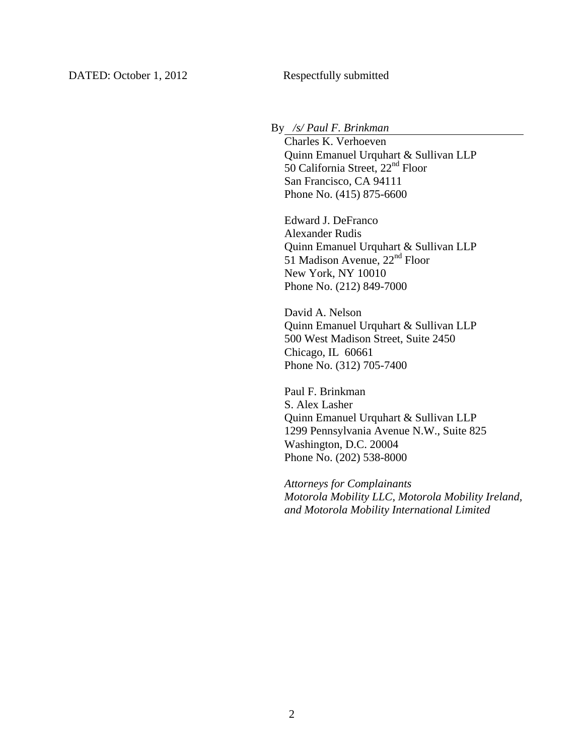### By */s/ Paul F. Brinkman*

 Charles K. Verhoeven Quinn Emanuel Urquhart & Sullivan LLP 50 California Street, 22nd Floor San Francisco, CA 94111 Phone No. (415) 875-6600

Edward J. DeFranco Alexander Rudis Quinn Emanuel Urquhart & Sullivan LLP  $51$  Madison Avenue,  $22<sup>nd</sup>$  Floor New York, NY 10010 Phone No. (212) 849-7000

David A. Nelson Quinn Emanuel Urquhart & Sullivan LLP 500 West Madison Street, Suite 2450 Chicago, IL 60661 Phone No. (312) 705-7400

Paul F. Brinkman S. Alex Lasher Quinn Emanuel Urquhart & Sullivan LLP 1299 Pennsylvania Avenue N.W., Suite 825 Washington, D.C. 20004 Phone No. (202) 538-8000

*Attorneys for Complainants Motorola Mobility LLC, Motorola Mobility Ireland, and Motorola Mobility International Limited*